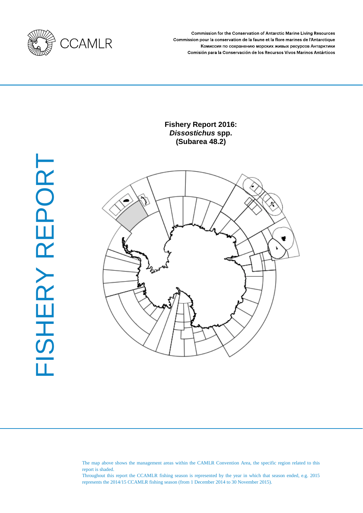

Commission for the Conservation of Antarctic Marine Living Resources Commission pour la conservation de la faune et la flore marines de l'Antarctique Комиссия по сохранению морских живых ресурсов Антарктики Comisión para la Conservación de los Recursos Vivos Marinos Antárticos

# **Fishery Report 2016:**  *Dissostichus* **spp. (Subarea 48.2)**





The map above shows the management areas within the CAMLR Convention Area, the specific region related to this report is shaded.

Throughout this report the CCAMLR fishing season is represented by the year in which that season ended, e.g. 2015 represents the 2014/15 CCAMLR fishing season (from 1 December 2014 to 30 November 2015).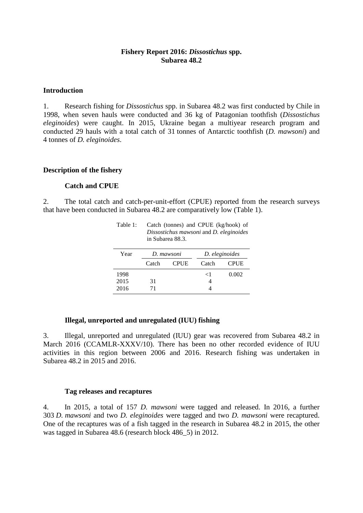## **Fishery Report 2016:** *Dissostichus* **spp. Subarea 48.2**

#### **Introduction**

1. Research fishing for *Dissostichus* spp. in Subarea 48.2 was first conducted by Chile in 1998, when seven hauls were conducted and 36 kg of Patagonian toothfish (*Dissostichus eleginoides*) were caught. In 2015, Ukraine began a multiyear research program and conducted 29 hauls with a total catch of 31 tonnes of Antarctic toothfish (*D. mawsoni*) and 4 tonnes of *D. eleginoides*.

#### **Description of the fishery**

## **Catch and CPUE**

2. The total catch and catch-per-unit-effort (CPUE) reported from the research surveys that have been conducted in Subarea 48.2 are comparatively low (Table 1).

| Dissostichus mawsoni and D. eleginoides<br>in Subarea 88.3. |            |             |                |             |  |
|-------------------------------------------------------------|------------|-------------|----------------|-------------|--|
| Year                                                        | D. mawsoni |             | D. eleginoides |             |  |
|                                                             | Catch      | <b>CPUE</b> | Catch          | <b>CPUE</b> |  |
| 1998                                                        |            |             | ${<}1$         | 0.002       |  |
| 2015                                                        | 31         |             |                |             |  |
| 2016                                                        | 71         |             |                |             |  |

Table 1: Catch (tonnes) and CPUE (kg/hook) of

### **Illegal, unreported and unregulated (IUU) fishing**

3. Illegal, unreported and unregulated (IUU) gear was recovered from Subarea 48.2 in March 2016 (CCAMLR-XXXV/10). There has been no other recorded evidence of IUU activities in this region between 2006 and 2016. Research fishing was undertaken in Subarea 48.2 in 2015 and 2016.

#### **Tag releases and recaptures**

4. In 2015, a total of 157 *D. mawsoni* were tagged and released. In 2016, a further 303 *D. mawsoni* and two *D. eleginoides* were tagged and two *D. mawsoni* were recaptured. One of the recaptures was of a fish tagged in the research in Subarea 48.2 in 2015, the other was tagged in Subarea 48.6 (research block 486\_5) in 2012.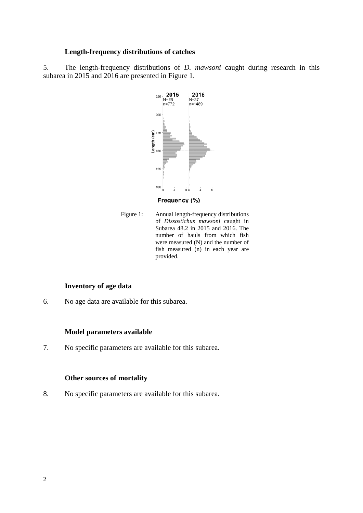## **Length-frequency distributions of catches**

5. The length-frequency distributions of *D. mawsoni* caught during research in this subarea in 2015 and 2016 are presented in Figure 1.



Frequency (%)

Figure 1: Annual length-frequency distributions of *Dissostichus mawsoni* caught in Subarea 48.2 in 2015 and 2016. The number of hauls from which fish were measured (N) and the number of fish measured (n) in each year are provided.

## **Inventory of age data**

6. No age data are available for this subarea.

## **Model parameters available**

7. No specific parameters are available for this subarea.

### **Other sources of mortality**

8. No specific parameters are available for this subarea.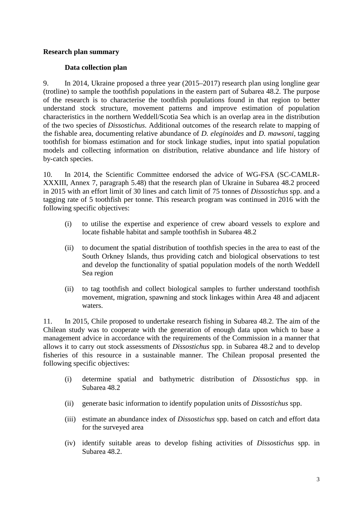## **Research plan summary**

## **Data collection plan**

9. In 2014, Ukraine proposed a three year (2015–2017) research plan using longline gear (trotline) to sample the toothfish populations in the eastern part of Subarea 48.2. The purpose of the research is to characterise the toothfish populations found in that region to better understand stock structure, movement patterns and improve estimation of population characteristics in the northern Weddell/Scotia Sea which is an overlap area in the distribution of the two species of *Dissostichus*. Additional outcomes of the research relate to mapping of the fishable area, documenting relative abundance of *D. eleginoides* and *D. mawsoni*, tagging toothfish for biomass estimation and for stock linkage studies, input into spatial population models and collecting information on distribution, relative abundance and life history of by-catch species.

10. In 2014, the Scientific Committee endorsed the advice of WG-FSA (SC-CAMLR-XXXIII, Annex 7, paragraph 5.48) that the research plan of Ukraine in Subarea 48.2 proceed in 2015 with an effort limit of 30 lines and catch limit of 75 tonnes of *Dissostichus* spp. and a tagging rate of 5 toothfish per tonne. This research program was continued in 2016 with the following specific objectives:

- (i) to utilise the expertise and experience of crew aboard vessels to explore and locate fishable habitat and sample toothfish in Subarea 48.2
- (ii) to document the spatial distribution of toothfish species in the area to east of the South Orkney Islands, thus providing catch and biological observations to test and develop the functionality of spatial population models of the north Weddell Sea region
- (ii) to tag toothfish and collect biological samples to further understand toothfish movement, migration, spawning and stock linkages within Area 48 and adjacent waters.

11. In 2015, Chile proposed to undertake research fishing in Subarea 48.2. The aim of the Chilean study was to cooperate with the generation of enough data upon which to base a management advice in accordance with the requirements of the Commission in a manner that allows it to carry out stock assessments of *Dissostichus* spp. in Subarea 48.2 and to develop fisheries of this resource in a sustainable manner. The Chilean proposal presented the following specific objectives:

- (i) determine spatial and bathymetric distribution of *Dissostichus* spp. in Subarea 48.2
- (ii) generate basic information to identify population units of *Dissostichus* spp.
- (iii) estimate an abundance index of *Dissostichus* spp. based on catch and effort data for the surveyed area
- (iv) identify suitable areas to develop fishing activities of *Dissostichus* spp. in Subarea 48.2.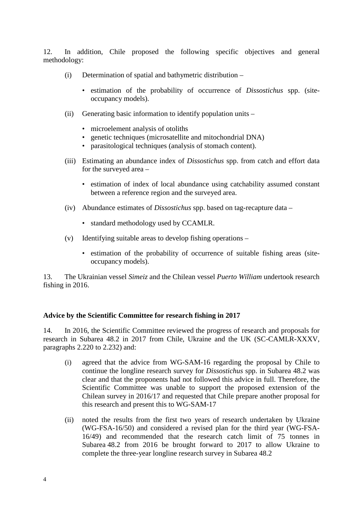12. In addition, Chile proposed the following specific objectives and general methodology:

- (i) Determination of spatial and bathymetric distribution
	- estimation of the probability of occurrence of *Dissostichus* spp. (siteoccupancy models).
- (ii) Generating basic information to identify population units
	- microelement analysis of otoliths
	- genetic techniques (microsatellite and mitochondrial DNA)
	- parasitological techniques (analysis of stomach content).
- (iii) Estimating an abundance index of *Dissostichus* spp. from catch and effort data for the surveyed area –
	- estimation of index of local abundance using catchability assumed constant between a reference region and the surveyed area.
- (iv) Abundance estimates of *Dissostichus* spp. based on tag-recapture data
	- standard methodology used by CCAMLR.
- (v) Identifying suitable areas to develop fishing operations
	- estimation of the probability of occurrence of suitable fishing areas (siteoccupancy models).

13. The Ukrainian vessel *Simeiz* and the Chilean vessel *Puerto William* undertook research fishing in 2016.

#### **Advice by the Scientific Committee for research fishing in 2017**

14. In 2016, the Scientific Committee reviewed the progress of research and proposals for research in Subarea 48.2 in 2017 from Chile, Ukraine and the UK (SC-CAMLR-XXXV, paragraphs 2.220 to 2.232) and:

- (i) agreed that the advice from WG-SAM-16 regarding the proposal by Chile to continue the longline research survey for *Dissostichus* spp. in Subarea 48.2 was clear and that the proponents had not followed this advice in full. Therefore, the Scientific Committee was unable to support the proposed extension of the Chilean survey in 2016/17 and requested that Chile prepare another proposal for this research and present this to WG-SAM-17
- (ii) noted the results from the first two years of research undertaken by Ukraine (WG-FSA-16/50) and considered a revised plan for the third year (WG-FSA-16/49) and recommended that the research catch limit of 75 tonnes in Subarea 48.2 from 2016 be brought forward to 2017 to allow Ukraine to complete the three-year longline research survey in Subarea 48.2